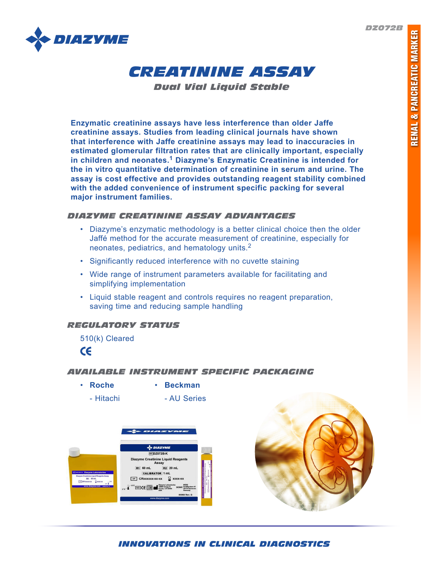*DZ072B*





*Dual Vial Liquid Stable*

**Enzymatic creatinine assays have less interference than older Jaffe creatinine assays. Studies from leading clinical journals have shown that interference with Jaffe creatinine assays may lead to inaccuracies in estimated glomerular filtration rates that are clinically important, especially in children and neonates.1 Diazyme's Enzymatic Creatinine is intended for the in vitro quantitative determination of creatinine in serum and urine. The assay is cost effective and provides outstanding reagent stability combined with the added convenience of instrument specific packing for several major instrument families.** 

# *DIAZYME CREATININE ASSAY ADVANTAGES*

- Diazyme's enzymatic methodology is a better clinical choice then the older Jaffé method for the accurate measurement of creatinine, especially for neonates, pediatrics, and hematology units.<sup>2</sup>
- Significantly reduced interference with no cuvette staining
- Wide range of instrument parameters available for facilitating and simplifying implementation
- Liquid stable reagent and controls requires no reagent preparation, saving time and reducing sample handling

# *REGULATORY STATUS*

510(k) Cleared



# *AVAILABLE INSTRUMENT SPECIFIC PACKAGING*

- **Roche Beckman**
	-
	- Hitachi AU Series





*INNOVATIONS IN CLINICAL DIAGNOSTICS*